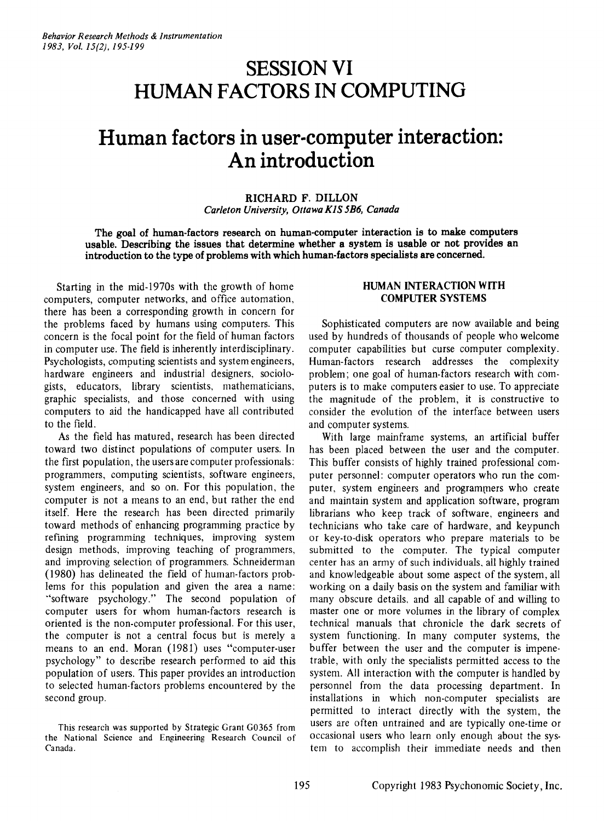# SESSION VI **HUMAN FACTORS IN COMPUTING**

# **Human factors inuser-computer interaction: An introduction**

## RICHARD F. DILLON *Carleton University, OttawaKIS 5B6, Canada*

The goal of human-factors research on human-computer interaction is to make computers usable. Describing the issues that determine whether a system is usable or not provides an introduction to the type of problems with which human-factors specialists are concerned.

Starting in the mid-1970s with the growth of home computers, computer networks, and office automation, there has been a corresponding growth in concern for the problems faced by humans using computers. This concern is the focal point for the field of human factors in computer use. The field is inherently interdisciplinary. Psychologists, computing scientists and system engineers, hardware engineers and industrial designers, sociologists, educators, library scientists, mathematicians, graphic specialists, and those concerned with using computers to aid the handicapped have all contributed to the field.

As the field has matured, research has been directed toward two distinct populations of computer users. In the first population, the users are computer professionals: programmers, computing scientists, software engineers, system engineers, and so on. For this population, the computer is not a means to an end, but rather the end itself. Here the research has been directed primarily toward methods of enhancing programming practice by refining programming techniques, improving system design methods, improving teaching of programmers, and improving selection of programmers. Schneiderman (1980) has delineated the field of human-factors problems for this population and given the area a name: "software psychology." The second population of computer users for whom human-factors research is oriented is the non-computer professional. For this user, the computer is not a central focus but is merely a means to an end. Moran (1981) uses "computer-user psychology" to describe research performed to aid this population of users. This paper provides an introduction to selected human-factors problems encountered by the second group.

This research was supported by Strategic Grant G0365 from the National Science and Engineering Research Council of Canada.

# HUMAN INTERACTION WITH COMPUTER SYSTEMS

Sophisticated computers are now available and being used by hundreds of thousands of people who welcome computer capabilities but curse computer complexity. Human-factors research addresses the complexity problem; one goal of human-factors research with computers is to make computers easier to use. To appreciate the magnitude of the problem, it is constructive to consider the evolution of the interface between users and computer systems.

With large mainframe systems, an artificial buffer has been placed between the user and the computer. This buffer consists of highly trained professional computer personnel: computer operators who run the computer, system engineers and programmers who create and maintain system and application software, program librarians who keep track of software, engineers and technicians who take care of hardware, and keypunch or key-to-disk operators who prepare materials to be submitted to the computer. The typical computer center has an army of such individuals. all highly trained and knowledgeable about some aspect of the system, all working on a daily basis on the system and familiar with many obscure details, and all capable of and willing to master one or more volumes in the library of complex technical manuals that chronicle the dark secrets of system functioning. In many computer systems, the buffer between the user and the computer is impenetrable, with only the specialists permitted access to the system. All interaction with the computer is handled by personnel from the data processing department. In installations in which non-computer specialists are permitted to interact directly with the system, the users are often untrained and are typically one-time or occasional users who learn only enough about the system to accomplish their immediate needs and then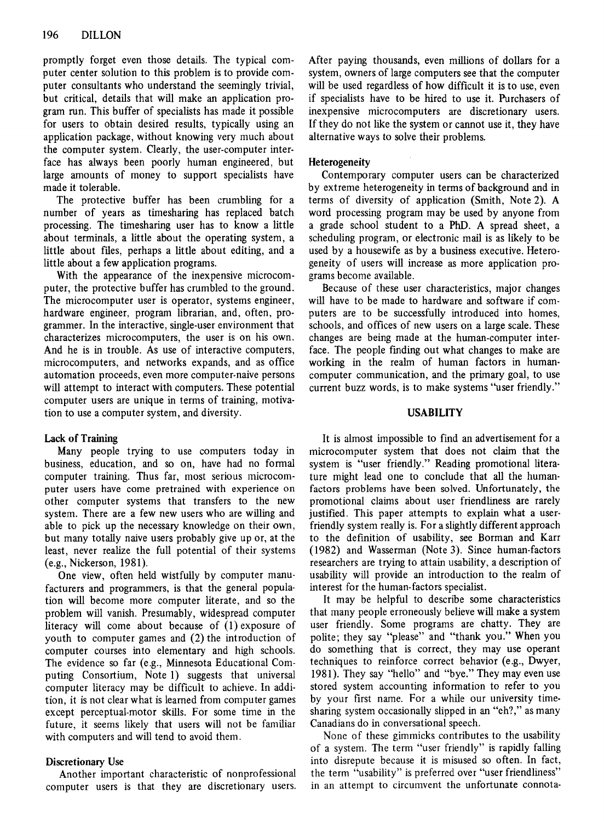promptly forget even those details. The typical computer center solution to this problem is to provide computer consultants who understand the seemingly trivial, but critical, details that will make an application program run. This buffer of specialists has made it possible for users to obtain desired results, typically using an application package, without knowing very much about the computer system. Clearly, the user-computer interface has always been poorly human engineered, but large amounts of money to support specialists have made it tolerable.

The protective buffer has been crumbling for a number of years as timesharing has replaced batch processing. The timesharing user has to know a little about terminals, a little about the operating system, a little about files, perhaps a little about editing, and a little about a few application programs.

With the appearance of the inexpensive microcomputer, the protective buffer has crumbled to the ground. The microcomputer user is operator, systems engineer, hardware engineer, program librarian, and, often, programmer. In the interactive, single-user environment that characterizes microcomputers, the user is on his own. And he is in trouble. As use of interactive computers, microcomputers, and networks expands, and as office automation proceeds, even more computer-naive persons will attempt to interact with computers. These potential computer users are unique in terms of training, motivation to use a computer system, and diversity.

# Lack of Training

Many people trying to use computers today in business, education, and so on, have had no formal computer training. Thus far, most serious microcomputer users have come pretrained with experience on other computer systems that transfers to the new system. There are a few new users who are willing and able to pick up the necessary knowledge on their own, but many totally naive users probably give up or, at the least, never realize the full potential of their systems (e.g., Nickerson, 1981).

One view, often held Wistfully by computer manufacturers and programmers, is that the general population will become more computer literate, and so the problem will vanish. Presumably, widespread computer literacy will come about because of (1) exposure of youth to computer games and (2) the introduction of computer courses into elementary and high schools. The evidence so far (e.g., Minnesota Educational Computing Consortium, Note 1) suggests that universal computer literacy may be difficult to achieve. In addition, it is not clear what is learned from computer games except perceptual-motor skills. For some time in the future, it seems likely that users will not be familiar with computers and will tend to avoid them.

# Discretionary Use

Another important characteristic of nonprofessional computer users is that they are discretionary users.

After paying thousands, even millions of dollars for a system, owners of large computers see that the computer will be used regardless of how difficult it is to use, even if specialists have to be hired to use it. Purchasers of inexpensive microcomputers are discretionary users. If they do not like the system or cannot use it, they have alternative ways to solve their problems.

# Heterogeneity

Contemporary computer users can be characterized by extreme heterogeneity in terms of background and in terms of diversity of application (Smith, Note 2). A word processing program may be used by anyone from a grade school student to a PhD. A spread sheet, a scheduling program, or electronic mail is as likely to be used by a housewife as by a business executive. Heterogeneity of users will increase as more application programs become available.

Because of these user characteristics, major changes will have to be made to hardware and software if computers are to be successfully introduced into homes, schools, and offices of new users on a large scale. These changes are being made at the human-computer interface. The people finding out what changes to make are working in the realm of human factors in humancomputer communication, and the primary goal, to use current buzz words, is to make systems ''user friendly."

## USABILITY

It is almost impossible to find an advertisement for a microcomputer system that does not claim that the system is "user friendly." Reading promotional literature might lead one to conclude that all the humanfactors problems have been solved. Unfortunately, the promotional claims about user friendliness are rarely justified. This paper attempts to explain what a userfriendly system really is. For a slightly different approach to the definition of usability, see Borman and Karr (1982) and Wasserman (Note 3). Since human-factors researchers are trying to attain usability, a description of usability will provide an introduction to the realm of interest for the human-factors specialist.

It may be helpful to describe some characteristics that many people erroneously believe will make a system user friendly. Some programs are chatty. They are polite; they say "please" and "thank you." When you do something that is correct, they may use operant techniques to reinforce correct behavior (e.g., Dwyer, 1981). They say "hello" and "bye." They may even use stored system accounting information to refer to you by your first name. For a while our university timesharing system occasionally slipped in an "eh?," as many Canadians do in conversational speech.

None of these gimmicks contributes to the usability of a system. The term "user friendly" is rapidly falling into disrepute because it is misused so often. In fact, the term "usability" is preferred over "user friendliness" in an attempt to circumvent the unfortunate connota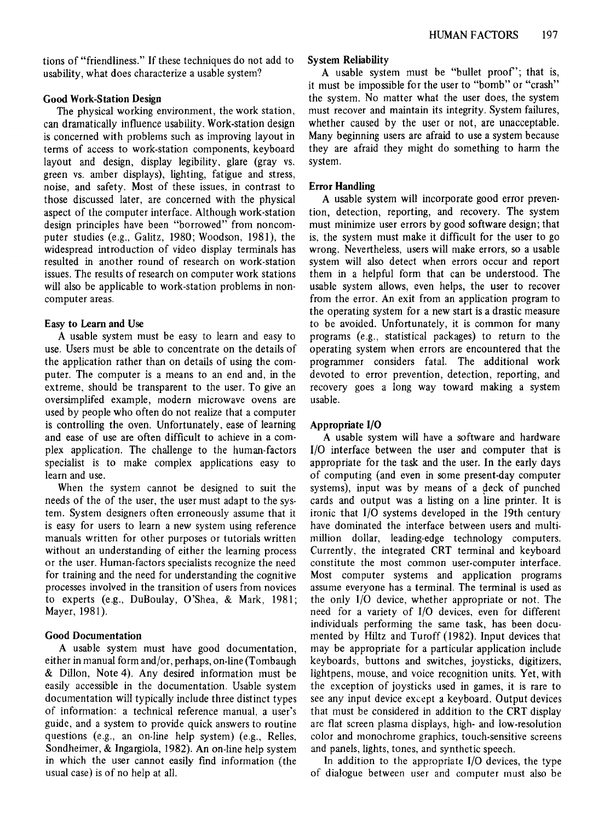tions of "friendliness." If these techniques do not add to usability, what does characterize a usable system?

#### Good Work-Station Design

The physical working environment, the work station, can dramatically influence usability. Work-station design is concerned with problems such as improving layout in terms of access to work-station components, keyboard layout and design, display legibility, glare (gray vs. green vs. amber displays), lighting, fatigue and stress, noise, and safety. Most of these issues, in contrast to those discussed later, are concerned with the physical aspect of the computer interface. Although work-station design principles have been "borrowed" from noncomputer studies (e.g., Galitz, 1980; Woodson, 1981), the widespread introduction of video display terminals has resulted in another round of research on work-station issues. The results of research on computer work stations will also be applicable to work-station problems in noncomputer areas.

### Easy to Learn and Use

A usable system must be easy to learn and easy to use. Users must be able to concentrate on the details of the application rather than on details of using the computer. The computer is a means to an end and, in the extreme, should be transparent to the user. To give an oversimplifed example, modern microwave ovens are used by people who often do not realize that a computer is controlling the oven. Unfortunately, ease of learning and ease of use are often difficult to achieve in a complex application. The challenge to the human-factors specialist is to make complex applications easy to learn and use.

When the system cannot be designed to suit the needs of the of the user, the user must adapt to the system. System designers often erroneously assume that it is easy for users to learn a new system using reference manuals written for other purposes or tutorials written without an understanding of either the learning process or the user. Human-factors specialists recognize the need for training and the need for understanding the cognitive processes involved in the transition of users from novices to experts (e.g., DuBoulay, O'Shea, & Mark, 1981; Mayer, 1981).

### Good Documentation

A usable system must have good documentation, either in manual form and/or, perhaps, on-line (Tombaugh & Dillon, Note 4). Any desired information must be easily accessible in the documentation. Usable system documentation will typically include three distinct types of information: a technical reference manual, a user's guide, and a system to provide quick answers to routine questions (e.g., an on-line help system) (e.g., Relles, Sondheimer, & Ingargiola, 1982). An on-line help system in which the user cannot easily fmd information (the usual case) is of no help at all.

#### System Reliability

A usable system must be "bullet proof'; that is, it must be impossible for the user to "bomb" or "crash" the system. No matter what the user does, the system must recover and maintain its integrity. System failures, whether caused by the user or not, are unacceptable. Many beginning users are afraid to use a system because they are afraid they might do something to harm the system.

### Error Handling

A usable system will incorporate good error prevention, detection, reporting, and recovery. The system must minimize user errors by good software design; that is, the system must make it difficult for the user to go wrong. Nevertheless, users will make errors, so a usable system will also detect when errors occur and report them in a helpful form that can be understood. The usable system allows, even helps, the user to recover from the error. An exit from an application program to the operating system for a new start is a drastic measure to be avoided. Unfortunately, it is common for many programs (e.g., statistical packages) to return to the operating system when errors are encountered that the programmer considers fatal. The additional work devoted to error prevention, detection, reporting, and recovery goes a long way toward making a system usable.

## Appropriate I/O

A usable system will have a software and hardware I/O interface between the user and computer that is appropriate for the task and the user. In the early days of computing (and even in some present-day computer systems), input was by means of a deck of punched cards and output was a listing on a line printer. It is ironic that I/O systems developed in the 19th century have dominated the interface between users and multimillion dollar, leading-edge technology computers. Currently, the integrated CRT terminal and keyboard constitute the most common user-computer interface. Most computer systems and application programs assume everyone has a terminal. The terminal is used as the only I/O device, whether appropriate or not. The need for a variety of I/O devices, even for different individuals performing the same task, has been documented by Hiltz and Turoff (1982). Input devices that may be appropriate for a particular application include keyboards, buttons and switches, joysticks, digitizers, lightpens, mouse, and voice recognition units. Yet, with the exception of joysticks used in games, it is rare to see any input device except a keyboard. Output devices that must be considered in addition to the CRT display are flat screen plasma displays, high- and low-resolution color and monochrome graphics, touch-sensitive screens and panels, lights, tones, and synthetic speech.

In addition to the appropriate I/O devices, the type of dialogue between user and computer must also be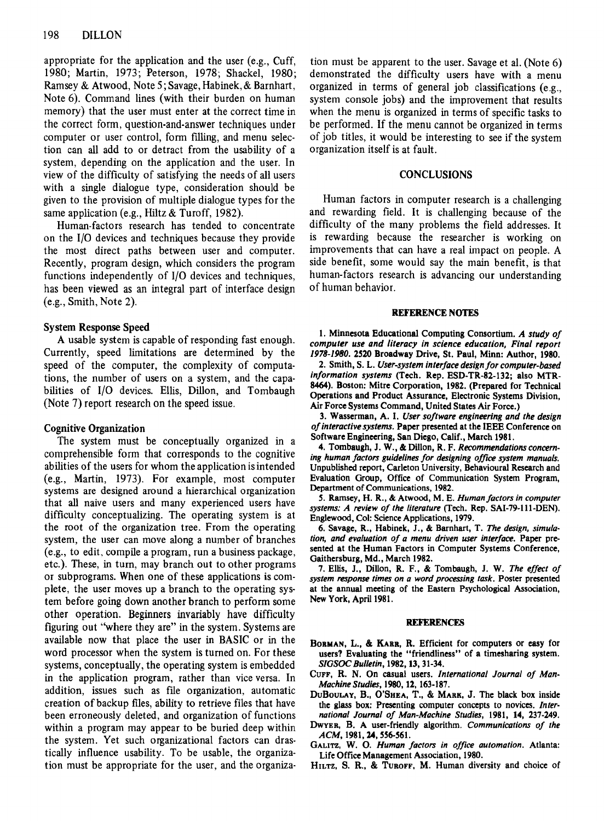appropriate for the application and the user (e.g., Cuff, 1980; Martin, 1973; Peterson, 1978; Shackel, 1980; Ramsey & Atwood, Note 5; Savage, Habinek, & Barnhart, Note 6). Command lines (with their burden on human memory) that the user must enter at the correct time in the correct form, question-and-answer techniques under computer or user control, form filling, and menu selection can all add to or detract from the usability of a system, depending on the application and the user. In view of the difficulty of satisfying the needs of all users with a single dialogue type, consideration should be given to the provision of multiple dialogue types for the same application (e.g., Hiltz & Turoff, 1982).

Human-factors research has tended to concentrate on the I/O devices and techniques because they provide the most direct paths between user and computer. Recently, program design, which considers the program functions independently of I/O devices and techniques, has been viewed as an integral part of interface design (e.g., Smith, Note 2).

## System Response Speed

A usable system is capable of responding fast enough. Currently, speed limitations are determined by the speed of the computer, the complexity of computations, the number of users on a system, and the capabilities of I/O devices. Ellis, Dillon, and Tombaugh (Note 7) report research on the speed issue.

### Cognitive Organization

The system must be conceptually organized in a comprehensible form that corresponds to the cognitive abilities of the users for whom the application isintended (e.g., Martin, 1973). For example, most computer systems are designed around a hierarchical organization that all naive users and many experienced users have difficulty conceptualizing. The operating system is at the root of the organization tree. From the operating system, the user can move along a number of branches (e.g., to edit, compile a program, run a business package, etc.). These, in turn, may branch out to other programs or subprograms. When one of these applications is complete, the user moves up a branch to the operating system before going down another branch to perform some other operation. Beginners invariably have difficulty figuring out "where they are" in the system. Systems are available now that place the user in BASIC or in the word processor when the system is turned on. For these systems, conceptually, the operating system is embedded in the application program, rather than vice versa. In addition, issues such as file organization, automatic creation of backup files, ability to retrieve files that have been erroneously deleted, and organization of functions within a program may appear to be buried deep within the system. Yet such organizational factors can drastically influence usability. To be usable, the organization must be appropriate for the user, and the organization must be apparent to the user. Savage et a1. (Note 6) demonstrated the difficulty users have with a menu organized in terms of general job classifications (e.g., system console jobs) and the improvement that results when the menu is organized in terms of specific tasks to be performed. If the menu cannot be organized in terms of job titles, it would be interesting to see if the system organization itself is at fault.

#### **CONCLUSIONS**

Human factors in computer research is a challenging and rewarding field. It is challenging because of the difficulty of the many problems the field addresses. It is rewarding because the researcher is working on improvements that can have a real impact on people. A side benefit, some would say the main benefit, is that human-factors research is advancing our understanding of human behavior.

#### REFERENCE NOTES

I. Minnesota Educational Computing Consortium. *A study of computer use and literacy in science education, Final report 1978-1980. 2S20* Broadway Drive, St. Paul, Minn: Author, 1980.

2. Smith, S. L. *User-system interface design for computer-based information systems* (Tech. Rep. ESD·TR-82·132; also MTR-8464). Boston: Mitre Corporation, 1982. (Prepared for Technical Operations and Product Assurance, Electronic Systems Division, Air Force Systems Command, United States Air Force.)

3. Wasserman, A. I. User software engineering and the design *ofinteractive systems.* Paper presented at the IEEE Conference on Software Engineering, San Diego, Calif., March 1981.

4. Tombaugh, J. W., & Dillon, R. F. *Recommendations concerning human factors guidelines for designing office system manuals.* Unpublished report, Carleton University, Behavioural Research and Evaluation Group, Office of Communication System Program, Department of Communications, 1982.

*S.* Ramsey, H. R., & Atwood, M. E. *Human factorsin computer systems:* A *review of the literature* (Tech. Rep. SAI-79-11I-DEN). Englewood, Col: ScienceApplications, 1979.

6. Savage, R., Habinek, J., & Barnhart, T. *The design, simulation, and evaluation of a menu driven userinterface.* Paper presented at the Human Factors in Computer Systems Conference, Gaithersburg, Md., March 1982.

7. Ellis, J., Dillon, R. F., & Tombaugh, J. W. *The effect of system response times on a word processing task.* Poster presented at the annual meeting of the Eastern Psychological Association, New York, April 1981.

#### REFERENCES

- BORMAN, L., & KARR, R. Efficient for computers or easy for users? Evaluating the "friendliness" of a timesharing system. *SIGSOCBulletin,* 1982, 13, 31-34.
- CUFF, R. N. On casual users. *International Journal Of* Man-*Machine Studies,* 1980,11, 163·187.
- DuBoULAY, B., O'SHEA, T., & MARK, J. The black box inside the glass box: Presenting computer concepts to novices. *International Journal of Man-Machine Studies,* 1981, 14, 237·249.
- DwYER, B. A user-friendly algorithm. *Communications of the ACM,* 1981,24, *SS6-S61.*
- GALlTZ, W. O. *Human factors in office automation.* Atlanta: Life Office Management Association, 1980.
- HILTZ, S. R., & TUROFF, M. Human diversity and choice of